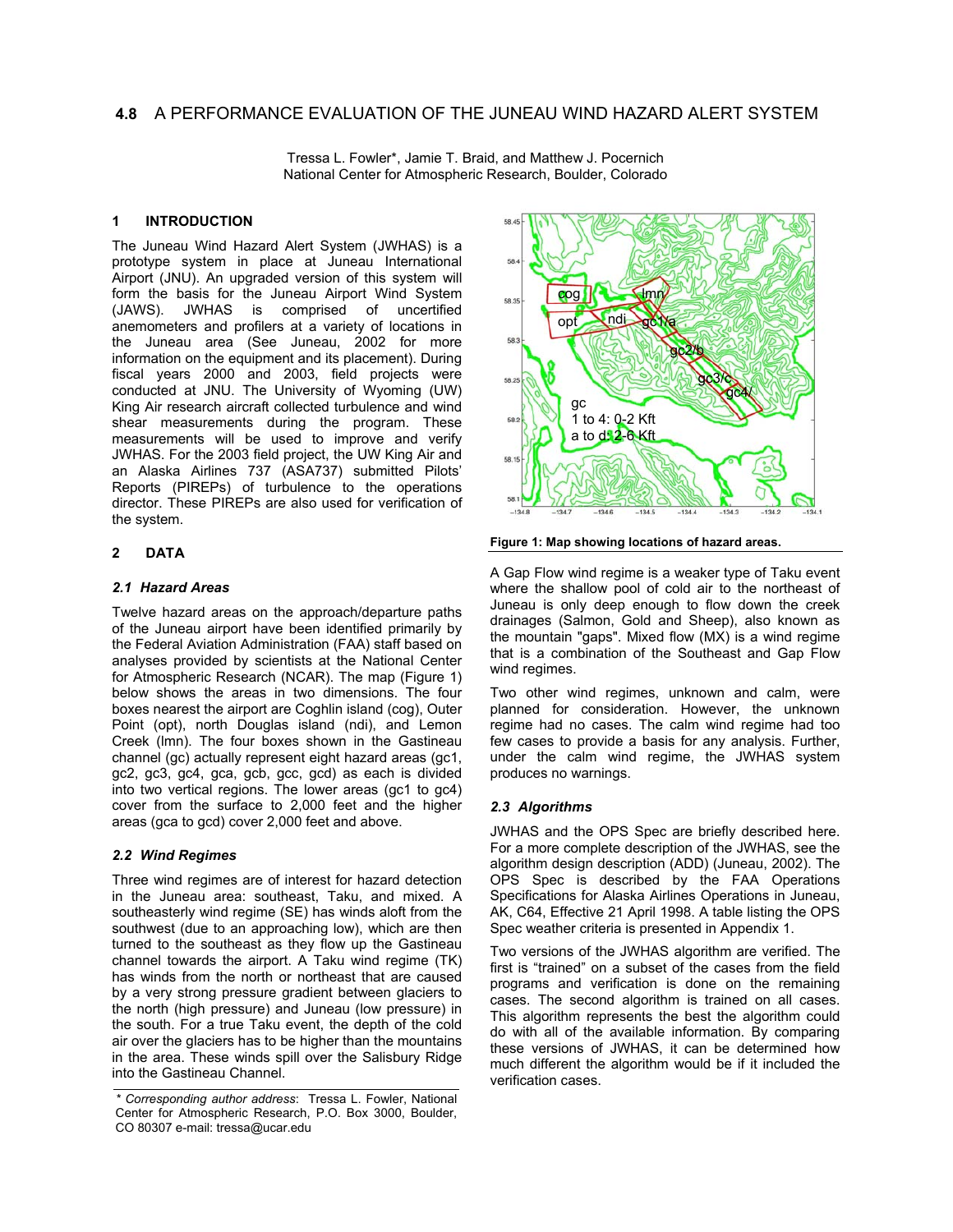# **4.8** A PERFORMANCE EVALUATION OF THE JUNEAU WIND HAZARD ALERT SYSTEM

Tressa L. Fowler\*, Jamie T. Braid, and Matthew J. Pocernich National Center for Atmospheric Research, Boulder, Colorado

### **1 INTRODUCTION**

The Juneau Wind Hazard Alert System (JWHAS) is a prototype system in place at Juneau International Airport (JNU). An upgraded version of this system will form the basis for the Juneau Airport Wind System (JAWS). JWHAS is comprised of uncertified anemometers and profilers at a variety of locations in the Juneau area (See Juneau, 2002 for more information on the equipment and its placement). During fiscal years 2000 and 2003, field projects were conducted at JNU. The University of Wyoming (UW) King Air research aircraft collected turbulence and wind shear measurements during the program. These measurements will be used to improve and verify JWHAS. For the 2003 field project, the UW King Air and an Alaska Airlines 737 (ASA737) submitted Pilots' Reports (PIREPs) of turbulence to the operations director. These PIREPs are also used for verification of the system.

## **2 DATA**

### *2.1 Hazard Areas*

Twelve hazard areas on the approach/departure paths of the Juneau airport have been identified primarily by the Federal Aviation Administration (FAA) staff based on analyses provided by scientists at the National Center for Atmospheric Research (NCAR). The map (Figure 1) below shows the areas in two dimensions. The four boxes nearest the airport are Coghlin island (cog), Outer Point (opt), north Douglas island (ndi), and Lemon Creek (lmn). The four boxes shown in the Gastineau channel (gc) actually represent eight hazard areas (gc1, gc2, gc3, gc4, gca, gcb, gcc, gcd) as each is divided into two vertical regions. The lower areas (gc1 to gc4) cover from the surface to 2,000 feet and the higher areas (gca to gcd) cover 2,000 feet and above.

## *2.2 Wind Regimes*

Three wind regimes are of interest for hazard detection in the Juneau area: southeast, Taku, and mixed. A southeasterly wind regime (SE) has winds aloft from the southwest (due to an approaching low), which are then turned to the southeast as they flow up the Gastineau channel towards the airport. A Taku wind regime (TK) has winds from the north or northeast that are caused by a very strong pressure gradient between glaciers to the north (high pressure) and Juneau (low pressure) in the south. For a true Taku event, the depth of the cold air over the glaciers has to be higher than the mountains in the area. These winds spill over the Salisbury Ridge into the Gastineau Channel.



**Figure 1: Map showing locations of hazard areas.** 

A Gap Flow wind regime is a weaker type of Taku event where the shallow pool of cold air to the northeast of Juneau is only deep enough to flow down the creek drainages (Salmon, Gold and Sheep), also known as the mountain "gaps". Mixed flow (MX) is a wind regime that is a combination of the Southeast and Gap Flow wind regimes.

Two other wind regimes, unknown and calm, were planned for consideration. However, the unknown regime had no cases. The calm wind regime had too few cases to provide a basis for any analysis. Further, under the calm wind regime, the JWHAS system produces no warnings.

## *2.3 Algorithms*

JWHAS and the OPS Spec are briefly described here. For a more complete description of the JWHAS, see the algorithm design description (ADD) (Juneau, 2002). The OPS Spec is described by the FAA Operations Specifications for Alaska Airlines Operations in Juneau, AK, C64, Effective 21 April 1998. A table listing the OPS Spec weather criteria is presented in Appendix 1.

Two versions of the JWHAS algorithm are verified. The first is "trained" on a subset of the cases from the field programs and verification is done on the remaining cases. The second algorithm is trained on all cases. This algorithm represents the best the algorithm could do with all of the available information. By comparing these versions of JWHAS, it can be determined how much different the algorithm would be if it included the verification cases.

*<sup>\*</sup> Corresponding author address*: Tressa L. Fowler, National Center for Atmospheric Research, P.O. Box 3000, Boulder, CO 80307 e-mail: tressa@ucar.edu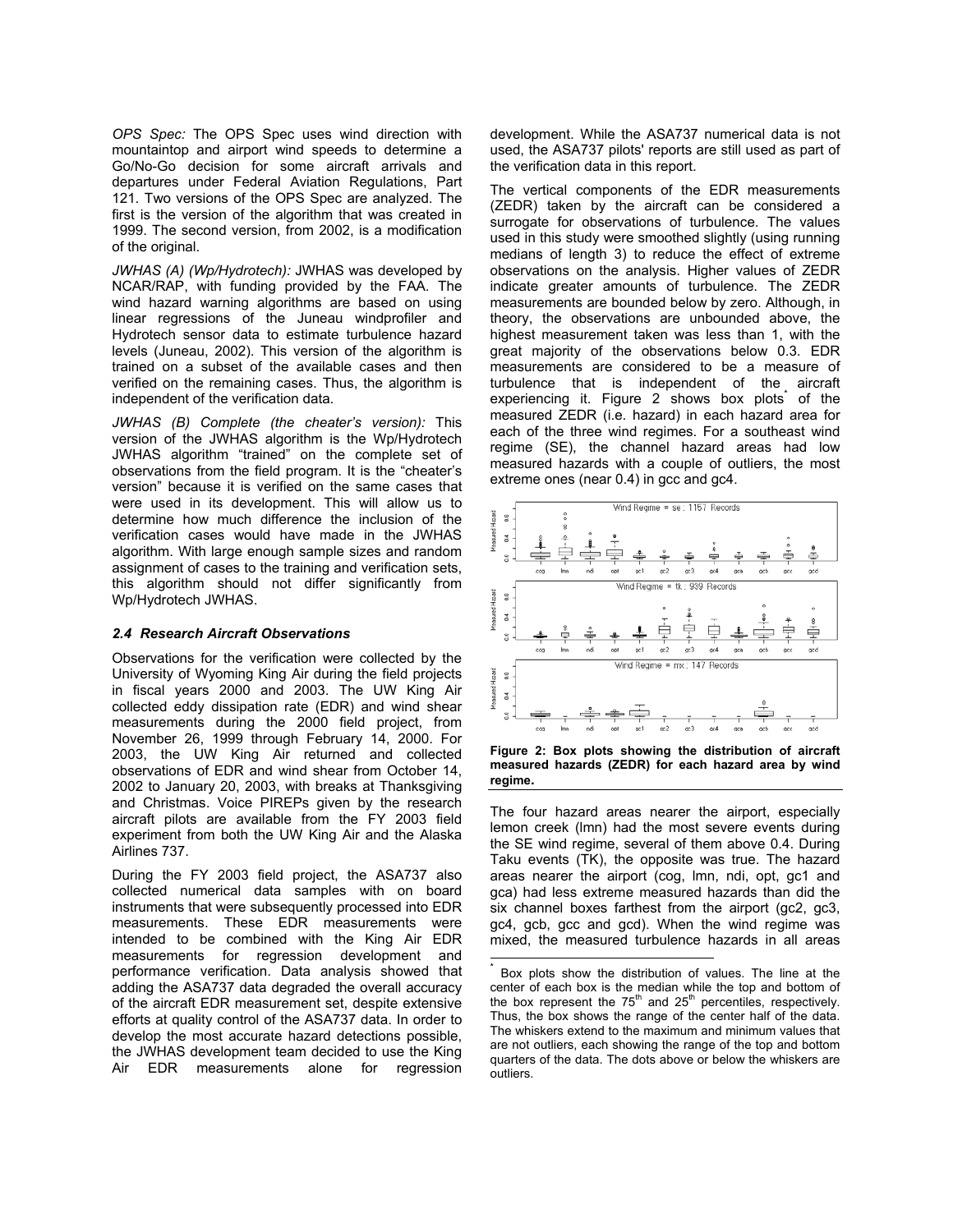*OPS Spec:* The OPS Spec uses wind direction with mountaintop and airport wind speeds to determine a Go/No-Go decision for some aircraft arrivals and departures under Federal Aviation Regulations, Part 121. Two versions of the OPS Spec are analyzed. The first is the version of the algorithm that was created in 1999. The second version, from 2002, is a modification of the original.

*JWHAS (A) (Wp/Hydrotech):* JWHAS was developed by NCAR/RAP, with funding provided by the FAA. The wind hazard warning algorithms are based on using linear regressions of the Juneau windprofiler and Hydrotech sensor data to estimate turbulence hazard levels (Juneau, 2002). This version of the algorithm is trained on a subset of the available cases and then verified on the remaining cases. Thus, the algorithm is independent of the verification data.

*JWHAS (B) Complete (the cheater's version):* This version of the JWHAS algorithm is the Wp/Hydrotech JWHAS algorithm "trained" on the complete set of observations from the field program. It is the "cheater's version" because it is verified on the same cases that were used in its development. This will allow us to determine how much difference the inclusion of the verification cases would have made in the JWHAS algorithm. With large enough sample sizes and random assignment of cases to the training and verification sets, this algorithm should not differ significantly from Wp/Hydrotech JWHAS.

### *2.4 Research Aircraft Observations*

Observations for the verification were collected by the University of Wyoming King Air during the field projects in fiscal years 2000 and 2003. The UW King Air collected eddy dissipation rate (EDR) and wind shear measurements during the 2000 field project, from November 26, 1999 through February 14, 2000. For 2003, the UW King Air returned and collected observations of EDR and wind shear from October 14, 2002 to January 20, 2003, with breaks at Thanksgiving and Christmas. Voice PIREPs given by the research aircraft pilots are available from the FY 2003 field experiment from both the UW King Air and the Alaska Airlines 737.

During the FY 2003 field project, the ASA737 also collected numerical data samples with on board instruments that were subsequently processed into EDR measurements. These EDR measurements were intended to be combined with the King Air EDR measurements for regression development and performance verification. Data analysis showed that adding the ASA737 data degraded the overall accuracy of the aircraft EDR measurement set, despite extensive efforts at quality control of the ASA737 data. In order to develop the most accurate hazard detections possible, the JWHAS development team decided to use the King Air EDR measurements alone for regression development. While the ASA737 numerical data is not used, the ASA737 pilots' reports are still used as part of the verification data in this report.

The vertical components of the EDR measurements (ZEDR) taken by the aircraft can be considered a surrogate for observations of turbulence. The values used in this study were smoothed slightly (using running medians of length 3) to reduce the effect of extreme observations on the analysis. Higher values of ZEDR indicate greater amounts of turbulence. The ZEDR measurements are bounded below by zero. Although, in theory, the observations are unbounded above, the highest measurement taken was less than 1, with the great majority of the observations below 0.3. EDR measurements are considered to be a measure of turbulence that is independent of the aircraft experiencingit. Figure 2 shows box plots of the measured ZEDR (i.e. hazard) in each hazard area for each of the three wind regimes. For a southeast wind regime (SE), the channel hazard areas had low measured hazards with a couple of outliers, the most extreme ones (near 0.4) in gcc and gc4.



**Figure 2: Box plots showing the distribution of aircraft measured hazards (ZEDR) for each hazard area by wind regime.** 

The four hazard areas nearer the airport, especially lemon creek (lmn) had the most severe events during the SE wind regime, several of them above 0.4. During Taku events (TK), the opposite was true. The hazard areas nearer the airport (cog, lmn, ndi, opt, gc1 and gca) had less extreme measured hazards than did the six channel boxes farthest from the airport (gc2, gc3, gc4, gcb, gcc and gcd). When the wind regime was mixed, the measured turbulence hazards in all areas

<span id="page-1-0"></span>Box plots show the distribution of values. The line at the center of each box is the median while the top and bottom of the box represent the  $75<sup>th</sup>$  and  $25<sup>th</sup>$  percentiles, respectively. Thus, the box shows the range of the center half of the data. The whiskers extend to the maximum and minimum values that are not outliers, each showing the range of the top and bottom quarters of the data. The dots above or below the whiskers are outliers.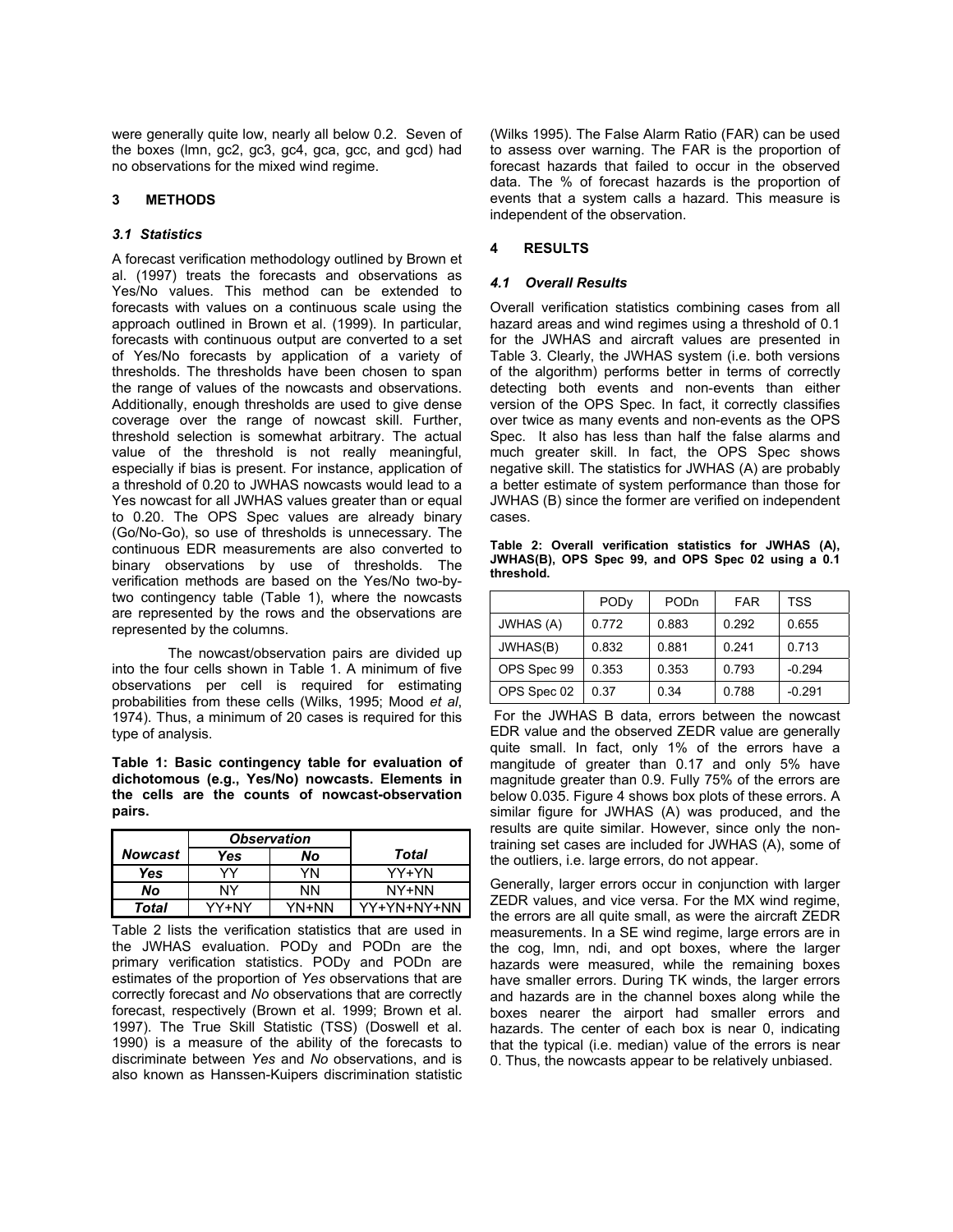were generally quite low, nearly all below 0.2. Seven of the boxes (lmn, gc2, gc3, gc4, gca, gcc, and gcd) had no observations for the mixed wind regime.

## **3 METHODS**

## *3.1 Statistics*

A forecast verification methodology outlined by Brown et al. (1997) treats the forecasts and observations as Yes/No values. This method can be extended to forecasts with values on a continuous scale using the approach outlined in Brown et al. (1999). In particular, forecasts with continuous output are converted to a set of Yes/No forecasts by application of a variety of thresholds. The thresholds have been chosen to span the range of values of the nowcasts and observations. Additionally, enough thresholds are used to give dense coverage over the range of nowcast skill. Further, threshold selection is somewhat arbitrary. The actual value of the threshold is not really meaningful, especially if bias is present. For instance, application of a threshold of 0.20 to JWHAS nowcasts would lead to a Yes nowcast for all JWHAS values greater than or equal to 0.20. The OPS Spec values are already binary (Go/No-Go), so use of thresholds is unnecessary. The continuous EDR measurements are also converted to binary observations by use of thresholds. The verification methods are based on the Yes/No two-bytwo contingency table (Table 1), where the nowcasts are represented by the rows and the observations are represented by the columns.

 The nowcast/observation pairs are divided up into the four cells shown in Table 1. A minimum of five observations per cell is required for estimating probabilities from these cells (Wilks, 1995; Mood *et al*, 1974). Thus, a minimum of 20 cases is required for this type of analysis.

**Table 1: Basic contingency table for evaluation of dichotomous (e.g., Yes/No) nowcasts. Elements in the cells are the counts of nowcast-observation pairs.**

|         | <b>Observation</b> |       |             |
|---------|--------------------|-------|-------------|
| Nowcast | Yes                | No    | Total       |
| Yes     | vν                 | YN    | YY+YN       |
| No      | NY                 | ΝN    | NY+NN       |
| Total   | YY+NY              | YN+NN | YY+YN+NY+NN |

Table 2 lists the verification statistics that are used in the JWHAS evaluation. PODy and PODn are the primary verification statistics. PODy and PODn are estimates of the proportion of *Yes* observations that are correctly forecast and *No* observations that are correctly forecast, respectively (Brown et al. 1999; Brown et al. 1997). The True Skill Statistic (TSS) (Doswell et al. 1990) is a measure of the ability of the forecasts to discriminate between *Yes* and *No* observations, and is also known as Hanssen-Kuipers discrimination statistic

(Wilks 1995). The False Alarm Ratio (FAR) can be used to assess over warning. The FAR is the proportion of forecast hazards that failed to occur in the observed data. The % of forecast hazards is the proportion of events that a system calls a hazard. This measure is independent of the observation.

## **4 RESULTS**

## *4.1 Overall Results*

Overall verification statistics combining cases from all hazard areas and wind regimes using a threshold of 0.1 for the JWHAS and aircraft values are presented in Table 3. Clearly, the JWHAS system (i.e. both versions of the algorithm) performs better in terms of correctly detecting both events and non-events than either version of the OPS Spec. In fact, it correctly classifies over twice as many events and non-events as the OPS Spec. It also has less than half the false alarms and much greater skill. In fact, the OPS Spec shows negative skill. The statistics for JWHAS (A) are probably a better estimate of system performance than those for JWHAS (B) since the former are verified on independent cases.

**Table 2: Overall verification statistics for JWHAS (A), JWHAS(B), OPS Spec 99, and OPS Spec 02 using a 0.1 threshold.** 

|                  | <b>PODy</b> | PODn  | FAR   | TSS      |
|------------------|-------------|-------|-------|----------|
| <b>JWHAS (A)</b> | 0.772       | 0.883 | 0.292 | 0.655    |
| JWHAS(B)         | 0.832       | 0.881 | 0.241 | 0.713    |
| OPS Spec 99      | 0.353       | 0.353 | 0.793 | $-0.294$ |
| OPS Spec 02      | 0.37        | 0.34  | 0.788 | $-0.291$ |

 For the JWHAS B data, errors between the nowcast EDR value and the observed ZEDR value are generally quite small. In fact, only 1% of the errors have a mangitude of greater than 0.17 and only 5% have magnitude greater than 0.9. Fully 75% of the errors are below 0.035. Figure 4 shows box plots of these errors. A similar figure for JWHAS (A) was produced, and the results are quite similar. However, since only the nontraining set cases are included for JWHAS (A), some of the outliers, i.e. large errors, do not appear.

Generally, larger errors occur in conjunction with larger ZEDR values, and vice versa. For the MX wind regime, the errors are all quite small, as were the aircraft ZEDR measurements. In a SE wind regime, large errors are in the cog, lmn, ndi, and opt boxes, where the larger hazards were measured, while the remaining boxes have smaller errors. During TK winds, the larger errors and hazards are in the channel boxes along while the boxes nearer the airport had smaller errors and hazards. The center of each box is near 0, indicating that the typical (i.e. median) value of the errors is near 0. Thus, the nowcasts appear to be relatively unbiased.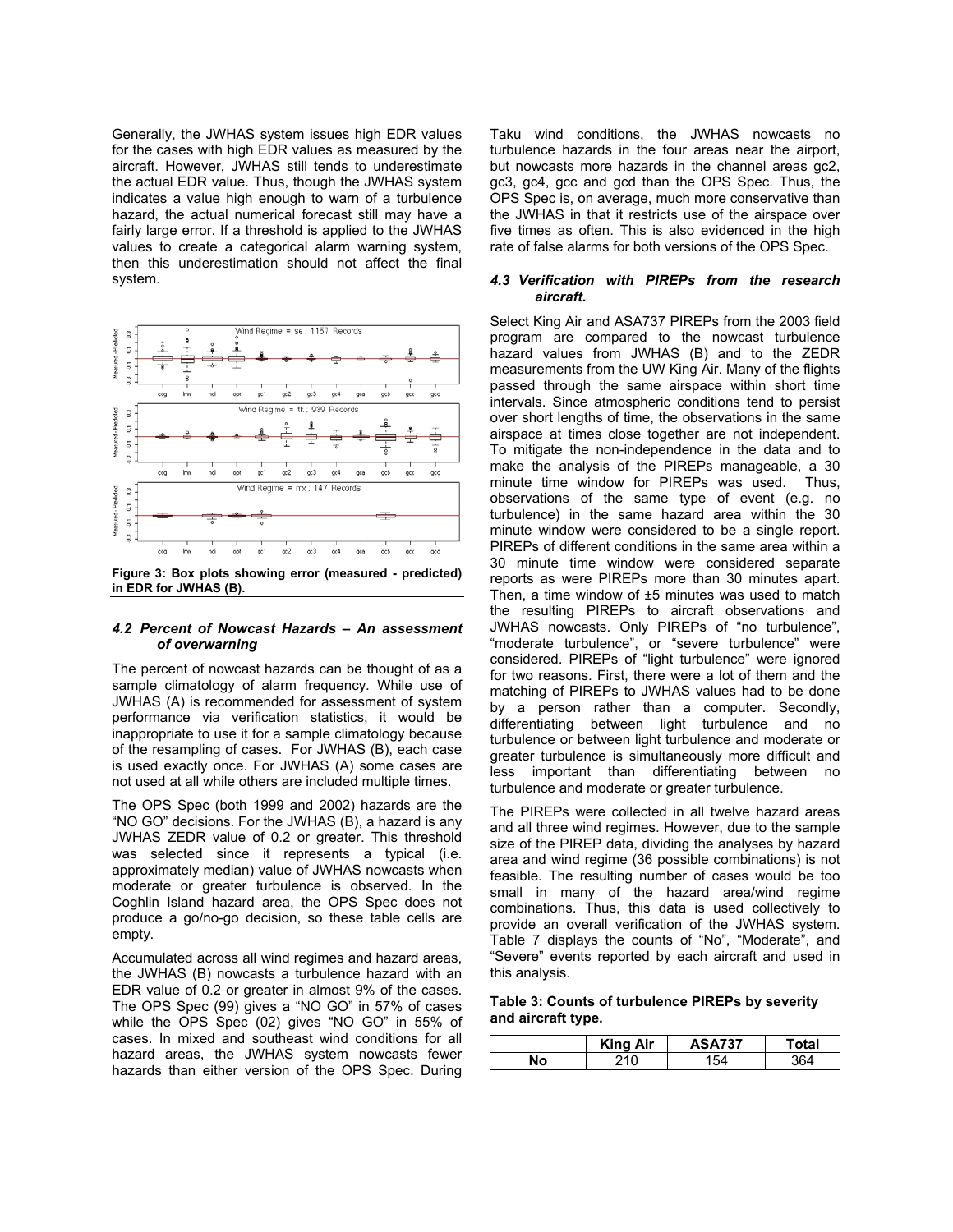Generally, the JWHAS system issues high EDR values for the cases with high EDR values as measured by the aircraft. However, JWHAS still tends to underestimate the actual EDR value. Thus, though the JWHAS system indicates a value high enough to warn of a turbulence hazard, the actual numerical forecast still may have a fairly large error. If a threshold is applied to the JWHAS values to create a categorical alarm warning system, then this underestimation should not affect the final system.



**Figure 3: Box plots showing error (measured - predicted) in EDR for JWHAS (B).** 

### *4.2 Percent of Nowcast Hazards – An assessment of overwarning*

The percent of nowcast hazards can be thought of as a sample climatology of alarm frequency. While use of JWHAS (A) is recommended for assessment of system performance via verification statistics, it would be inappropriate to use it for a sample climatology because of the resampling of cases. For JWHAS (B), each case is used exactly once. For JWHAS (A) some cases are not used at all while others are included multiple times.

The OPS Spec (both 1999 and 2002) hazards are the "NO GO" decisions. For the JWHAS (B), a hazard is any JWHAS ZEDR value of 0.2 or greater. This threshold was selected since it represents a typical (i.e. approximately median) value of JWHAS nowcasts when moderate or greater turbulence is observed. In the Coghlin Island hazard area, the OPS Spec does not produce a go/no-go decision, so these table cells are empty.

Accumulated across all wind regimes and hazard areas, the JWHAS (B) nowcasts a turbulence hazard with an EDR value of 0.2 or greater in almost 9% of the cases. The OPS Spec (99) gives a "NO GO" in 57% of cases while the OPS Spec (02) gives "NO GO" in 55% of cases. In mixed and southeast wind conditions for all hazard areas, the JWHAS system nowcasts fewer hazards than either version of the OPS Spec. During

Taku wind conditions, the JWHAS nowcasts no turbulence hazards in the four areas near the airport, but nowcasts more hazards in the channel areas gc2, gc3, gc4, gcc and gcd than the OPS Spec. Thus, the OPS Spec is, on average, much more conservative than the JWHAS in that it restricts use of the airspace over five times as often. This is also evidenced in the high rate of false alarms for both versions of the OPS Spec.

### *4.3 Verification with PIREPs from the research aircraft.*

Select King Air and ASA737 PIREPs from the 2003 field program are compared to the nowcast turbulence hazard values from JWHAS (B) and to the ZEDR measurements from the UW King Air. Many of the flights passed through the same airspace within short time intervals. Since atmospheric conditions tend to persist over short lengths of time, the observations in the same airspace at times close together are not independent. To mitigate the non-independence in the data and to make the analysis of the PIREPs manageable, a 30 minute time window for PIREPs was used. Thus, observations of the same type of event (e.g. no turbulence) in the same hazard area within the 30 minute window were considered to be a single report. PIREPs of different conditions in the same area within a 30 minute time window were considered separate reports as were PIREPs more than 30 minutes apart. Then, a time window of  $\pm 5$  minutes was used to match the resulting PIREPs to aircraft observations and JWHAS nowcasts. Only PIREPs of "no turbulence", "moderate turbulence", or "severe turbulence" were considered. PIREPs of "light turbulence" were ignored for two reasons. First, there were a lot of them and the matching of PIREPs to JWHAS values had to be done by a person rather than a computer. Secondly, differentiating between light turbulence and no turbulence or between light turbulence and moderate or greater turbulence is simultaneously more difficult and less important than differentiating between no turbulence and moderate or greater turbulence.

The PIREPs were collected in all twelve hazard areas and all three wind regimes. However, due to the sample size of the PIREP data, dividing the analyses by hazard area and wind regime (36 possible combinations) is not feasible. The resulting number of cases would be too small in many of the hazard area/wind regime combinations. Thus, this data is used collectively to provide an overall verification of the JWHAS system. Table 7 displays the counts of "No", "Moderate", and "Severe" events reported by each aircraft and used in this analysis.

### **Table 3: Counts of turbulence PIREPs by severity and aircraft type.**

|    | <b>King Air</b> | <b>ASA737</b> | 'otal |
|----|-----------------|---------------|-------|
| No | ้10             | 54            |       |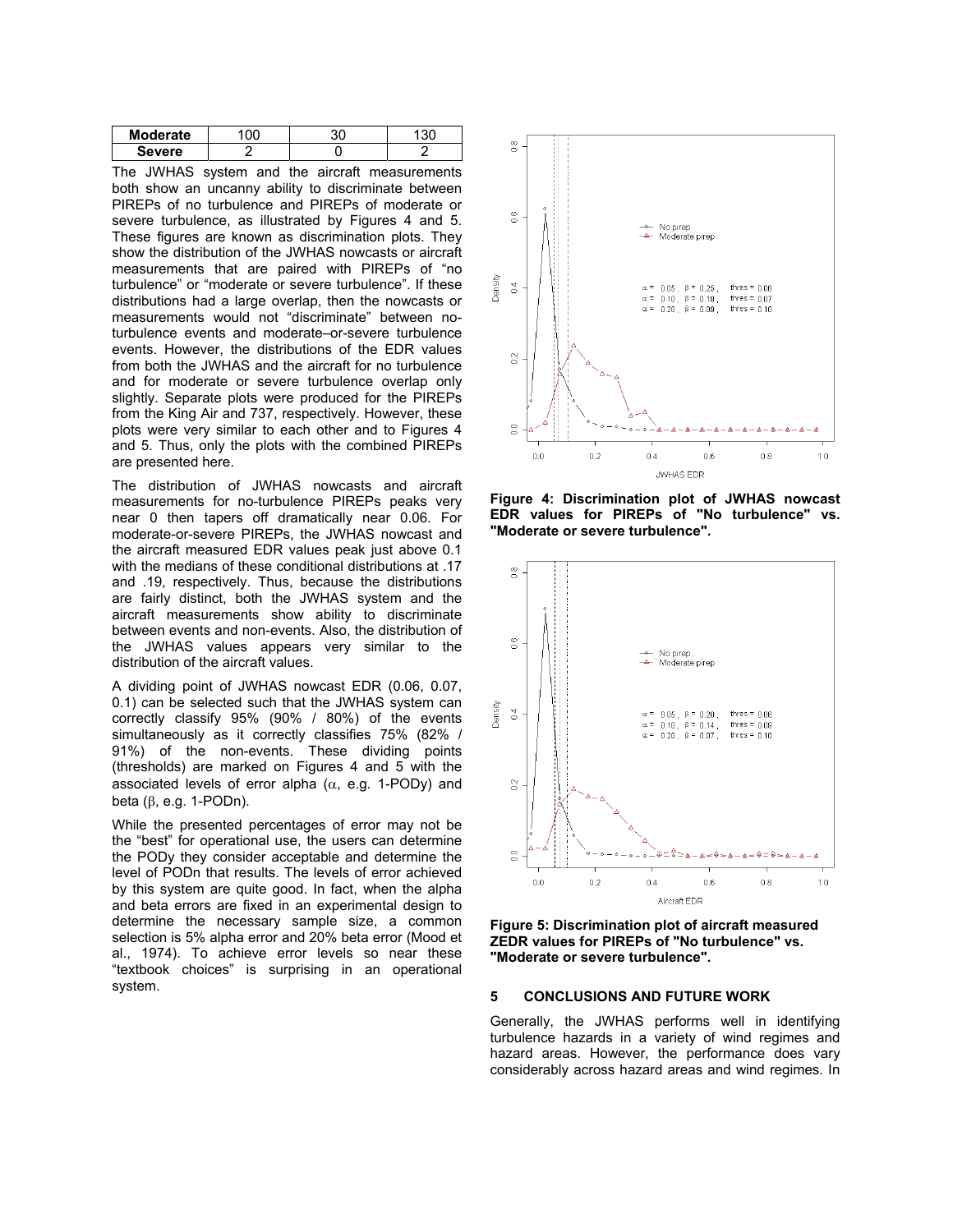| Moderate      |  |  |
|---------------|--|--|
| <b>Severe</b> |  |  |

The JWHAS system and the aircraft measurements both show an uncanny ability to discriminate between PIREPs of no turbulence and PIREPs of moderate or severe turbulence, as illustrated by Figures 4 and 5. These figures are known as discrimination plots. They show the distribution of the JWHAS nowcasts or aircraft measurements that are paired with PIREPs of "no turbulence" or "moderate or severe turbulence". If these distributions had a large overlap, then the nowcasts or measurements would not "discriminate" between noturbulence events and moderate–or-severe turbulence events. However, the distributions of the EDR values from both the JWHAS and the aircraft for no turbulence and for moderate or severe turbulence overlap only slightly. Separate plots were produced for the PIREPs from the King Air and 737, respectively. However, these plots were very similar to each other and to Figures 4 and 5. Thus, only the plots with the combined PIREPs are presented here.

The distribution of JWHAS nowcasts and aircraft measurements for no-turbulence PIREPs peaks very near 0 then tapers off dramatically near 0.06. For moderate-or-severe PIREPs, the JWHAS nowcast and the aircraft measured EDR values peak just above 0.1 with the medians of these conditional distributions at .17 and .19, respectively. Thus, because the distributions are fairly distinct, both the JWHAS system and the aircraft measurements show ability to discriminate between events and non-events. Also, the distribution of the JWHAS values appears very similar to the distribution of the aircraft values.

A dividing point of JWHAS nowcast EDR (0.06, 0.07, 0.1) can be selected such that the JWHAS system can correctly classify 95% (90% / 80%) of the events simultaneously as it correctly classifies 75% (82% / 91%) of the non-events. These dividing points (thresholds) are marked on Figures 4 and 5 with the associated levels of error alpha ( $\alpha$ , e.g. 1-PODy) and beta (β, e.g. 1-PODn).

While the presented percentages of error may not be the "best" for operational use, the users can determine the PODy they consider acceptable and determine the level of PODn that results. The levels of error achieved by this system are quite good. In fact, when the alpha and beta errors are fixed in an experimental design to determine the necessary sample size, a common selection is 5% alpha error and 20% beta error (Mood et al., 1974). To achieve error levels so near these "textbook choices" is surprising in an operational system.



**Figure 4: Discrimination plot of JWHAS nowcast EDR values for PIREPs of "No turbulence" vs. "Moderate or severe turbulence".** 



**Figure 5: Discrimination plot of aircraft measured ZEDR values for PIREPs of "No turbulence" vs. "Moderate or severe turbulence".** 

#### **5 CONCLUSIONS AND FUTURE WORK**

Generally, the JWHAS performs well in identifying turbulence hazards in a variety of wind regimes and hazard areas. However, the performance does vary considerably across hazard areas and wind regimes. In